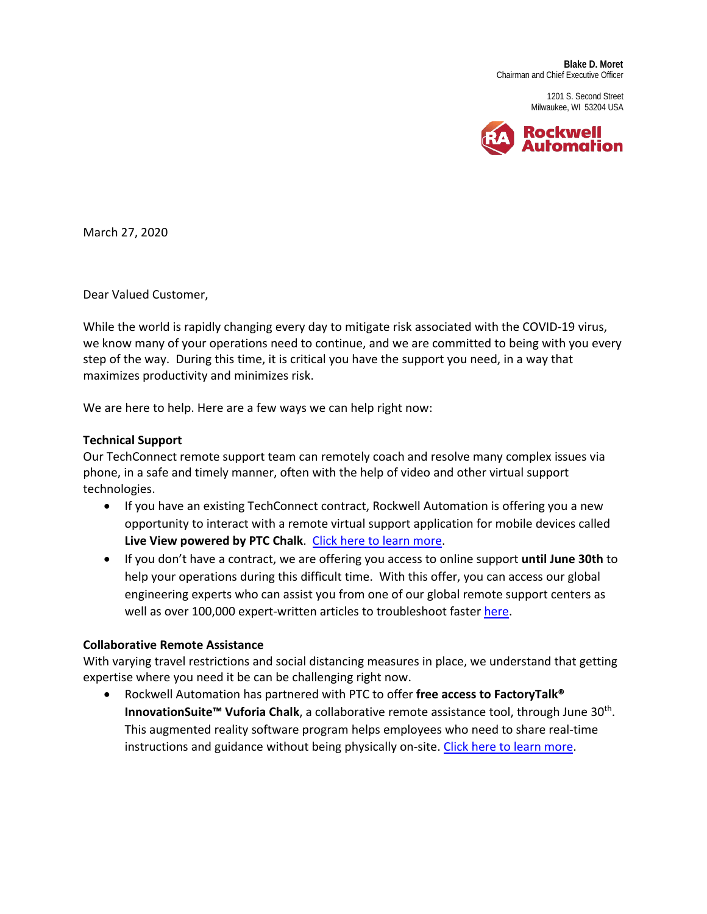**Blake D. Moret** Chairman and Chief Executive Officer

> 1201 S. Second Street Milwaukee, WI 53204 USA



March 27, 2020

Dear Valued Customer,

While the world is rapidly changing every day to mitigate risk associated with the COVID-19 virus, we know many of your operations need to continue, and we are committed to being with you every step of the way. During this time, it is critical you have the support you need, in a way that maximizes productivity and minimizes risk.

We are here to help. Here are a few ways we can help right now:

## **Technical Support**

Our TechConnect remote support team can remotely coach and resolve many complex issues via phone, in a safe and timely manner, often with the help of video and other virtual support technologies.

- If you have an existing TechConnect contract, Rockwell Automation is offering you a new opportunity to interact with a remote virtual support application for mobile devices called Live View powered by PTC Chalk. [Click here to learn more.](https://www.rockwellautomation.com/global/news/blog/detail.page?pagetitle=Augmented-Reality-for-Manufacturing-Tech-Support&content_type=blog&docid=cca79c875b45ff61328695f50021d5a2)
- If you don't have a contract, we are offering you access to online support **until June 30th** to help your operations during this difficult time. With this offer, you can access our global engineering experts who can assist you from one of our global remote support centers as well as over 100,000 expert-written articles to troubleshoot faster [here.](https://www.rockwellautomation.com/resources/downloads/rockwellautomation/pdf/legal-notices/ReliefServices-Instructions-KBArticle-EN-R1.pdf)

## **Collaborative Remote Assistance**

With varying travel restrictions and social distancing measures in place, we understand that getting expertise where you need it be can be challenging right now.

• Rockwell Automation has partnered with PTC to offer **free access to FactoryTalk® InnovationSuite™ Vuforia Chalk**, a collaborative remote assistance tool, through June 30<sup>th</sup>. This augmented reality software program helps employees who need to share real-time instructions and guidance without being physically on-site. [Click here to learn more.](https://campaigns.rockwellautomation.com/free-access?event-category=Link&event-action=Click&event-label=InformationSolutions_MultiAudience_Global_XX_EN_CMP-03202-L1P6C3_bmletter)